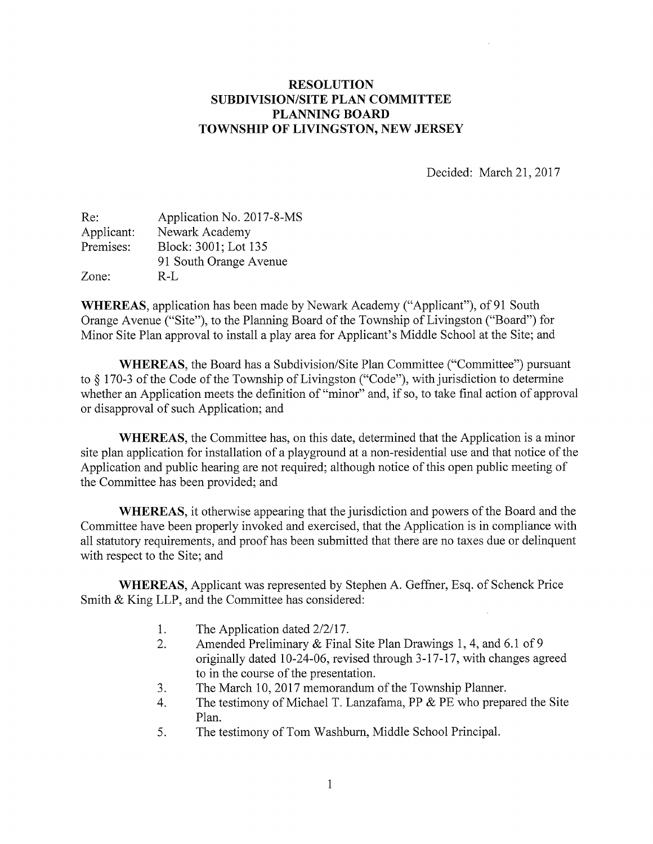## RESOLUTION SUBDIVISION/SITE PLAN COMMITTEE PLANNING BOARD TOWNSHIP OF LIVINGSTON, NEW JERSEY

Decided: March 21, 2017

| Re:        | Application No. 2017-8-MS |
|------------|---------------------------|
| Applicant: | Newark Academy            |
| Premises:  | Block: 3001; Lot 135      |
|            | 91 South Orange Avenue    |
| Zone:      | $R-I.$                    |

WHEREAS, application has been made by Newark Academy ("Applicant"), of <sup>91</sup> South Orange Avenue ("Site"), to the Planning Board of the Township of Livingston ("Board") for Minor Site Plan approval to install a play area for Applicant's Middle School at the Site; and

WHEREAS, the Board has a Subdivision/Site Plan Committee ("Committee") pursuant to § 170-3 of the Code of the Township of Livingston ("Code"), with jurisdiction to determine whether an Application meets the definition of "minor" and, if so, to take final action of approval or disapproval of such Application; and

WHEREAS, the Committee has, on this date, determined that the Application is a minor site plan application for installation of <sup>a</sup> playground at <sup>a</sup> non-residential use and that notice of the Application and public hearing are not required; although notice of this open public meeting of the Committee has been provided; and

WHEREAS, it otherwise appearing that the jurisdiction and powers of the Board and the Committee have been properly invoked and exercised, that the Application is in compliance with all statutory requirements, and proof has been submitted that there are no taxes due or delinquent with respect to the Site; and

WHEREAS, Applicant was represented by Stephen A. Geffner, Esq. of Schenck Price Smith & King LLP, and the Committee has considered:

- 1. The Application dated 2/2/17.
- 2. Amended Preliminary & Final Site Plan Drawings 1, 4, and 6.1 of <sup>9</sup> originally dated 10-24-06, revised through 3-17-17, with changes agreed to in the course of the presentation.
- 3. The March 10, 2017 memorandum of the Township Planner.
- 4. The testimony of Michael T. Lanzafama, PP & PE who prepared the Site Plan.
- 5. The testimony of Tom Washburn, Middle School Principal.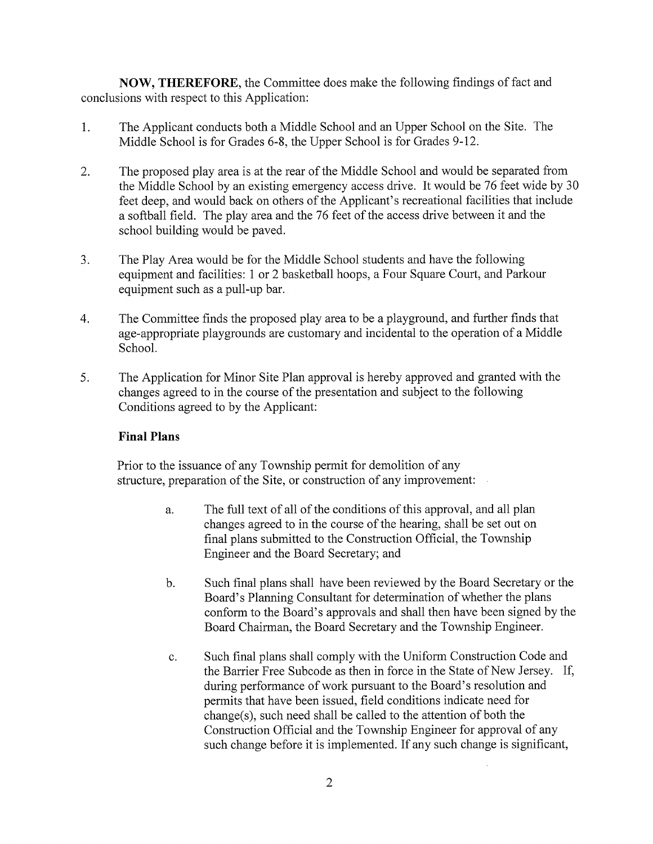NOW, THEREFORE, the Committee does make the following findings of fact and conclusions with respect to this Application:

- The Applicant conducts both a Middle School and an Upper School on the Site. The 1. Middle School is for Grades 6-8, the Upper School is for Grades 9-12.
- 2. The proposed play area is at the rear of the Middle School and would be separated from the Middle School by an existing emergency access drive. It would be 76 feet wide by 30 feet deep, and would back on others of the Applicant's recreational facilities that include a softball field. The play area and the 76 feet of the access drive between it and the school building would be paved.
- 3. The Play Area would be for the Middle School students and have the following equipment and facilities: <sup>1</sup> or 2 basketball hoops, a Four Square Court, and Parkour equipment such as a pull-up bar.
- 4. The Committee finds the proposed play area to be a playground, and further finds that age-appropriate playgrounds are customary and incidental to the operation of <sup>a</sup> Middle School.
- 5. The Application for Minor Site Plan approval is hereby approved and granted with the changes agreed to in the course of the presentation and subject to the following Conditions agreed to by the Applicant:

## Final Plans

Prior to the issuance of any Township permit for demolition of any structure, preparation of the Site, or construction of any improvement:

- a. The full text of all of the conditions of this approval, and all plan changes agreed to in the course of the hearing, shall be set out on final plans submitted to the Construction Official, the Township Engineer and the Board Secretary; and
- b. Such final plans shall have been reviewed by the Board Secretary or the Board's Planning Consultant for determination of whether the plans conform to the Board's approvals and shall then have been signed by the Board Chairman, the Board Secretary and the Township Engineer.
- c. Such final plans shall comply with the Uniform Construction Code and the Barrier Free Subcode as then in force in the State of New Jersey. If, during performance of work pursuant to the Board's resolution and permits that have been issued, field conditions indicate need for change(s), such need shall be called to the attention of both the Construction Official and the Township Engineer for approval of any such change before it is implemented. If any such change is significant,